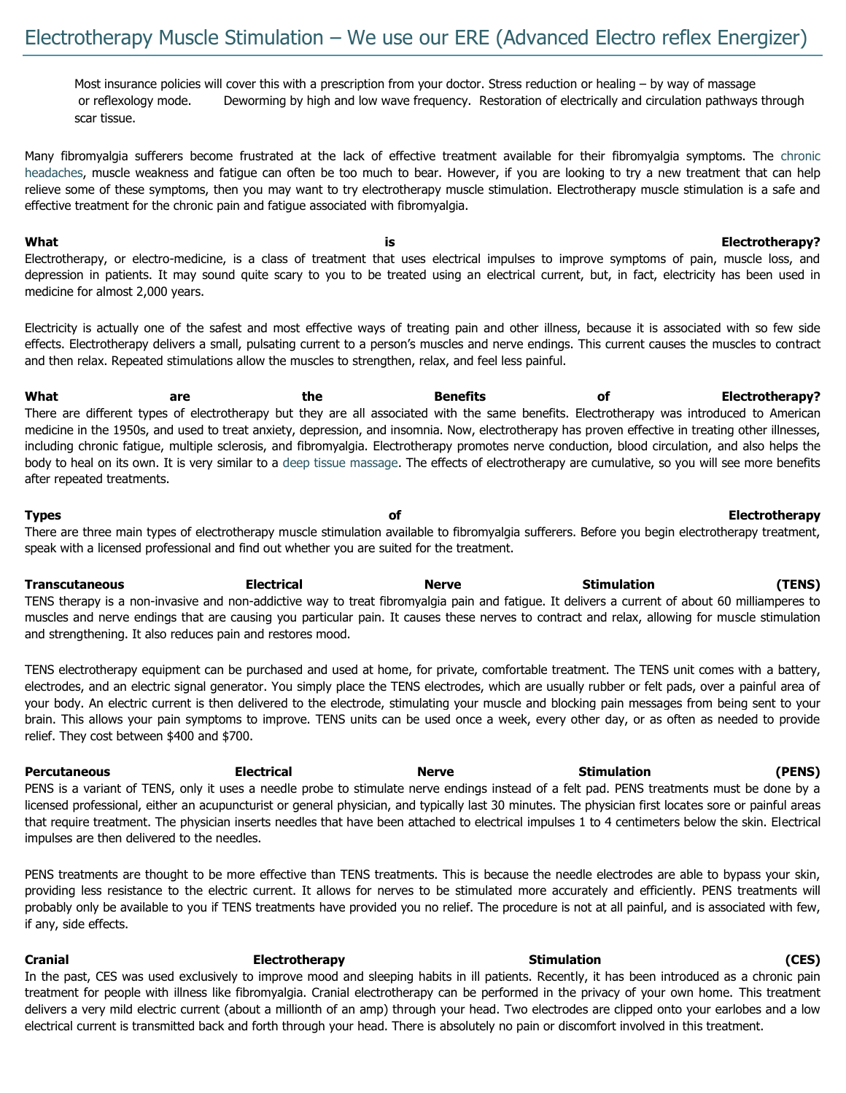Most insurance policies will cover this with a prescription from your doctor. Stress reduction or healing – by way of massage or reflexology mode. Deworming by high and low wave frequency. Restoration of electrically and circulation pathways through scar tissue.

Many fibromyalgia sufferers become frustrated at the lack of effective treatment available for their fibromyalgia symptoms. The [chronic](http://www.fibromyalgia-symptoms.org/fibromyalgia_chronic_headaches.html)  [headaches,](http://www.fibromyalgia-symptoms.org/fibromyalgia_chronic_headaches.html) muscle weakness and fatigue can often be too much to bear. However, if you are looking to try a new treatment that can help relieve some of these symptoms, then you may want to try electrotherapy muscle stimulation. Electrotherapy muscle stimulation is a safe and effective treatment for the chronic pain and fatigue associated with fibromyalgia.

**What is Electrotherapy?** Electrotherapy, or electro-medicine, is a class of treatment that uses electrical impulses to improve symptoms of pain, muscle loss, and depression in patients. It may sound quite scary to you to be treated using an electrical current, but, in fact, electricity has been used in medicine for almost 2,000 years.

Electricity is actually one of the safest and most effective ways of treating pain and other illness, because it is associated with so few side effects. Electrotherapy delivers a small, pulsating current to a person's muscles and nerve endings. This current causes the muscles to contract and then relax. Repeated stimulations allow the muscles to strengthen, relax, and feel less painful.

**What are the Benefits of Electrotherapy?** There are different types of electrotherapy but they are all associated with the same benefits. Electrotherapy was introduced to American medicine in the 1950s, and used to treat anxiety, depression, and insomnia. Now, electrotherapy has proven effective in treating other illnesses, including chronic fatigue, multiple sclerosis, and fibromyalgia. Electrotherapy promotes nerve conduction, blood circulation, and also helps the body to heal on its own. It is very similar to a [deep tissue massage.](http://www.fibromyalgia-symptoms.org/fibromyalgia_massage.html) The effects of electrotherapy are cumulative, so you will see more benefits after repeated treatments.

**Types of Electrotherapy** There are three main types of electrotherapy muscle stimulation available to fibromyalgia sufferers. Before you begin electrotherapy treatment, speak with a licensed professional and find out whether you are suited for the treatment.

**Transcutaneous Electrical Merve Stimulation** (TENS) TENS therapy is a non-invasive and non-addictive way to treat fibromyalgia pain and fatigue. It delivers a current of about 60 milliamperes to muscles and nerve endings that are causing you particular pain. It causes these nerves to contract and relax, allowing for muscle stimulation and strengthening. It also reduces pain and restores mood.

TENS electrotherapy equipment can be purchased and used at home, for private, comfortable treatment. The TENS unit comes with a battery, electrodes, and an electric signal generator. You simply place the TENS electrodes, which are usually rubber or felt pads, over a painful area of your body. An electric current is then delivered to the electrode, stimulating your muscle and blocking pain messages from being sent to your brain. This allows your pain symptoms to improve. TENS units can be used once a week, every other day, or as often as needed to provide relief. They cost between \$400 and \$700.

**Percutaneous Electrical Nerve Stimulation (PENS)** PENS is a variant of TENS, only it uses a needle probe to stimulate nerve endings instead of a felt pad. PENS treatments must be done by a licensed professional, either an acupuncturist or general physician, and typically last 30 minutes. The physician first locates sore or painful areas that require treatment. The physician inserts needles that have been attached to electrical impulses 1 to 4 centimeters below the skin. Electrical impulses are then delivered to the needles.

PENS treatments are thought to be more effective than TENS treatments. This is because the needle electrodes are able to bypass your skin, providing less resistance to the electric current. It allows for nerves to be stimulated more accurately and efficiently. PENS treatments will probably only be available to you if TENS treatments have provided you no relief. The procedure is not at all painful, and is associated with few, if any, side effects.

**Cranial Electrotherapy Stimulation (CES)**  In the past, CES was used exclusively to improve mood and sleeping habits in ill patients. Recently, it has been introduced as a chronic pain treatment for people with illness like fibromyalgia. Cranial electrotherapy can be performed in the privacy of your own home. This treatment delivers a very mild electric current (about a millionth of an amp) through your head. Two electrodes are clipped onto your earlobes and a low electrical current is transmitted back and forth through your head. There is absolutely no pain or discomfort involved in this treatment.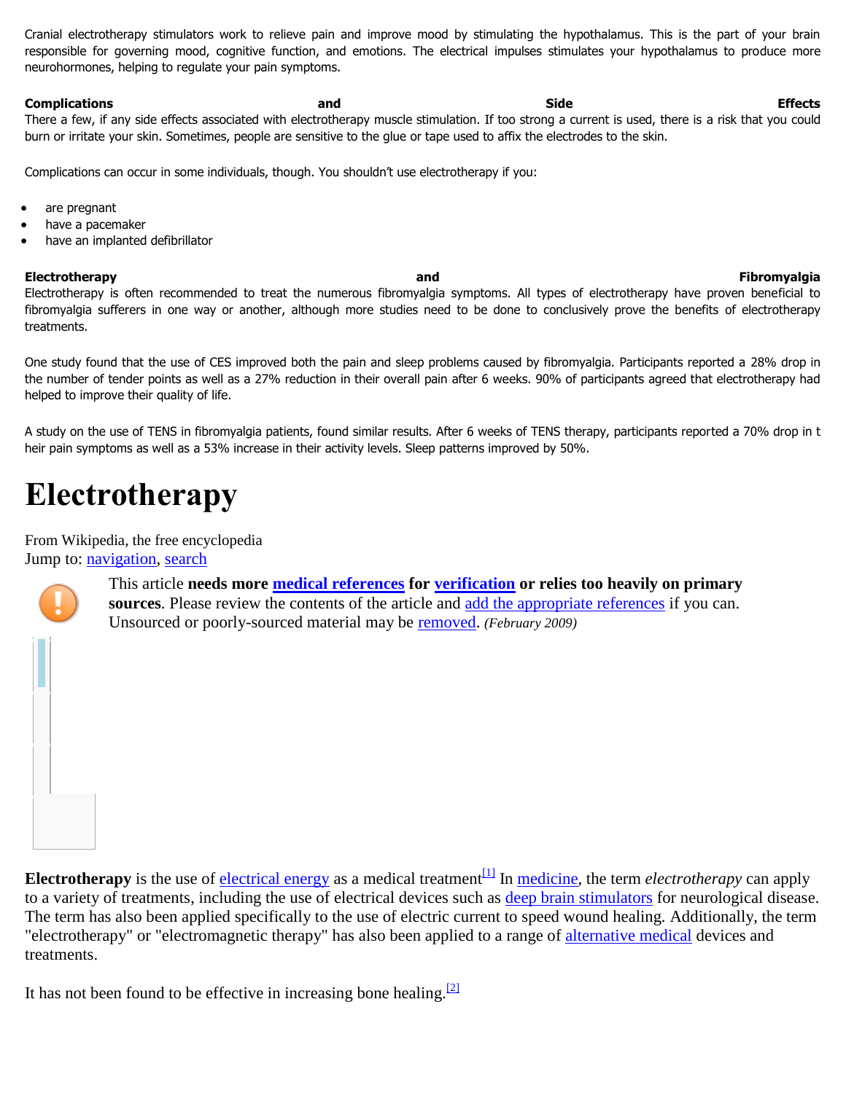Cranial electrotherapy stimulators work to relieve pain and improve mood by stimulating the hypothalamus. This is the part of your brain responsible for governing mood, cognitive function, and emotions. The electrical impulses stimulates your hypothalamus to produce more neurohormones, helping to regulate your pain symptoms.

**Complications and Side Effects** There a few, if any side effects associated with electrotherapy muscle stimulation. If too strong a current is used, there is a risk that you could burn or irritate your skin. Sometimes, people are sensitive to the glue or tape used to affix the electrodes to the skin.

Complications can occur in some individuals, though. You shouldn't use electrotherapy if you:

- are pregnant
- have a pacemaker
- have an implanted defibrillator

#### **Electrotherapy and Fibromyalgia**

Electrotherapy is often recommended to treat the numerous fibromyalgia symptoms. All types of electrotherapy have proven beneficial to fibromyalgia sufferers in one way or another, although more studies need to be done to conclusively prove the benefits of electrotherapy treatments.

One study found that the use of CES improved both the pain and sleep problems caused by fibromyalgia. Participants reported a 28% drop in the number of tender points as well as a 27% reduction in their overall pain after 6 weeks. 90% of participants agreed that electrotherapy had helped to improve their quality of life.

A study on the use of TENS in fibromyalgia patients, found similar results. After 6 weeks of TENS therapy, participants reported a 70% drop in t heir pain symptoms as well as a 53% increase in their activity levels. Sleep patterns improved by 50%.

# **Electrotherapy**

From Wikipedia, the free encyclopedia

Jump to: [navigation,](http://en.wikipedia.org/wiki/Electrotherapy#mw-head) [search](http://en.wikipedia.org/wiki/Electrotherapy#p-search)



This article **needs more [medical references](http://en.wikipedia.org/wiki/Wikipedia:Identifying_reliable_sources_(medicine)) for [verification](http://en.wikipedia.org/wiki/Wikipedia:Verifiability) or relies too heavily on primary sources**. Please review the contents of the article and [add the appropriate references](http://en.wikipedia.org/w/index.php?title=Electrotherapy&action=edit) if you can. Unsourced or poorly-sourced material may be [removed.](http://en.wikipedia.org/wiki/Wikipedia:Verifiability#Burden_of_evidence) *(February 2009)*

**Electrotherapy** is the use of **electrical energy** as a medical treatment  $\frac{[1]}{[1]}$  $\frac{[1]}{[1]}$  $\frac{[1]}{[1]}$  In <u>medicine</u>, the term *electrotherapy* can apply to a variety of treatments, including the use of electrical devices such as [deep brain stimulators](http://en.wikipedia.org/wiki/Deep_brain_stimulation) for neurological disease. The term has also been applied specifically to the use of electric current to speed wound healing. Additionally, the term "electrotherapy" or "electromagnetic therapy" has also been applied to a range of [alternative medical](http://en.wikipedia.org/wiki/Alternative_medicine) devices and treatments.

It has not been found to be effective in increasing bone healing.  $\frac{2}{2}$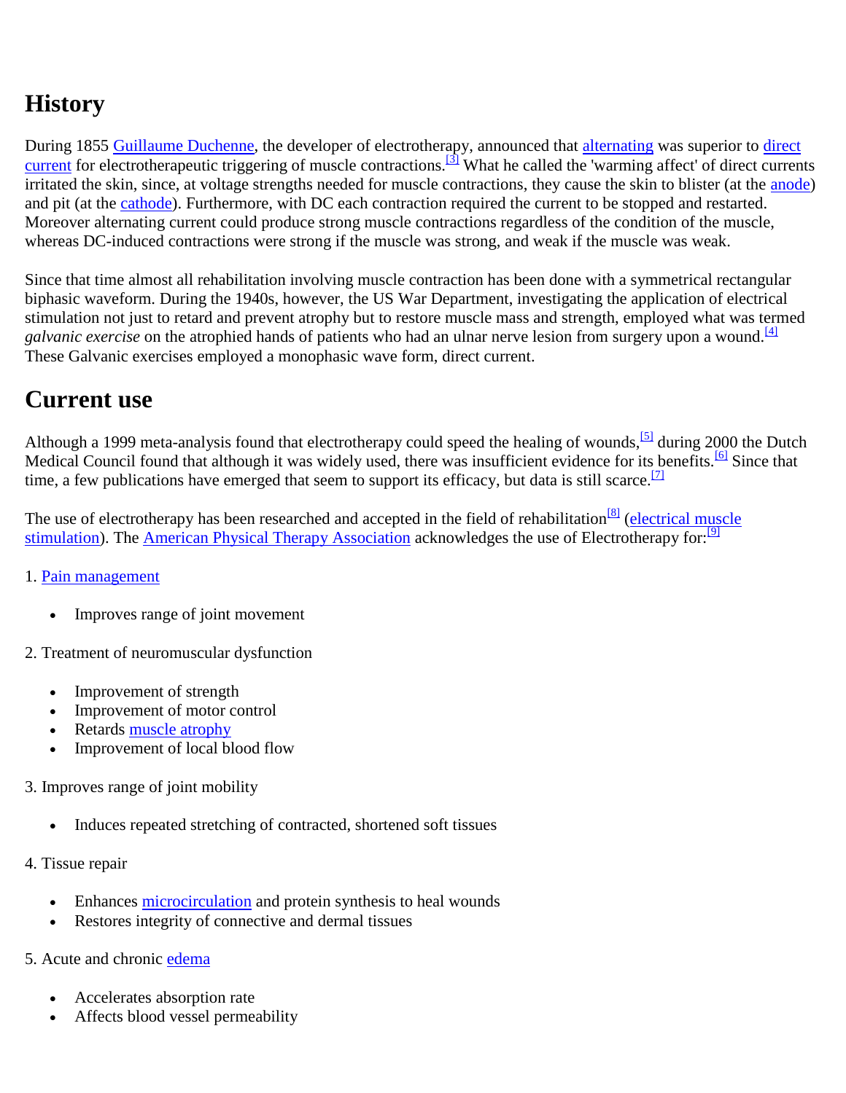## **History**

During 1855 [Guillaume Duchenne,](http://en.wikipedia.org/wiki/Guillaume_Duchenne) the developer of electrotherapy, announced that [alternating](http://en.wikipedia.org/wiki/Alternating_current) was superior to direct [current](http://en.wikipedia.org/wiki/Direct_current) for electrotherapeutic triggering of muscle contractions.<sup>[\[3\]](http://en.wikipedia.org/wiki/Electrotherapy#cite_note-2)</sup> What he called the 'warming affect' of direct currents irritated the skin, since, at voltage strengths needed for muscle contractions, they cause the skin to blister (at the [anode\)](http://en.wikipedia.org/wiki/Anode) and pit (at the [cathode\)](http://en.wikipedia.org/wiki/Cathode). Furthermore, with DC each contraction required the current to be stopped and restarted. Moreover alternating current could produce strong muscle contractions regardless of the condition of the muscle, whereas DC-induced contractions were strong if the muscle was strong, and weak if the muscle was weak.

Since that time almost all rehabilitation involving muscle contraction has been done with a symmetrical rectangular biphasic waveform. During the 1940s, however, the US War Department, investigating the application of electrical stimulation not just to retard and prevent atrophy but to restore muscle mass and strength, employed what was termed *galvanic exercise* on the atrophied hands of patients who had an ulnar nerve lesion from surgery upon a wound.<sup>[\[4\]](http://en.wikipedia.org/wiki/Electrotherapy#cite_note-3)</sup> These Galvanic exercises employed a monophasic wave form, direct current.

### **Current use**

Although a 1999 meta-analysis found that electrotherapy could speed the healing of wounds,  $[5]$  during 2000 the Dutch Medical Council found that although it was widely used, there was insufficient evidence for its benefits.<sup>[\[6\]](http://en.wikipedia.org/wiki/Electrotherapy#cite_note-5)</sup> Since that time, a few publications have emerged that seem to support its efficacy, but data is still scarce.<sup>[\[7\]](http://en.wikipedia.org/wiki/Electrotherapy#cite_note-6)</sup>

The use of electrotherapy has been researched and accepted in the field of rehabilitation<sup>[\[8\]](http://en.wikipedia.org/wiki/Electrotherapy#cite_note-7)</sup> (electrical muscle [stimulation\)](http://en.wikipedia.org/wiki/Electrical_muscle_stimulation). The [American Physical Therapy Association](http://en.wikipedia.org/wiki/American_Physical_Therapy_Association) acknowledges the use of Electrotherapy for:<sup>[\[9\]](http://en.wikipedia.org/wiki/Electrotherapy#cite_note-8)</sup>

#### 1. [Pain management](http://en.wikipedia.org/wiki/Pain_management)

- Improves range of joint movement
- 2. Treatment of neuromuscular dysfunction
	- Improvement of strength
	- Improvement of motor control
	- Retards [muscle atrophy](http://en.wikipedia.org/wiki/Muscle_atrophy)
	- Improvement of local blood flow
- 3. Improves range of joint mobility
	- Induces repeated stretching of contracted, shortened soft tissues
- 4. Tissue repair
	- Enhances [microcirculation](http://en.wikipedia.org/wiki/Microcirculation) and protein synthesis to heal wounds
	- Restores integrity of connective and dermal tissues
- 5. Acute and chronic [edema](http://en.wikipedia.org/wiki/Edema)
	- Accelerates absorption rate
	- Affects blood vessel permeability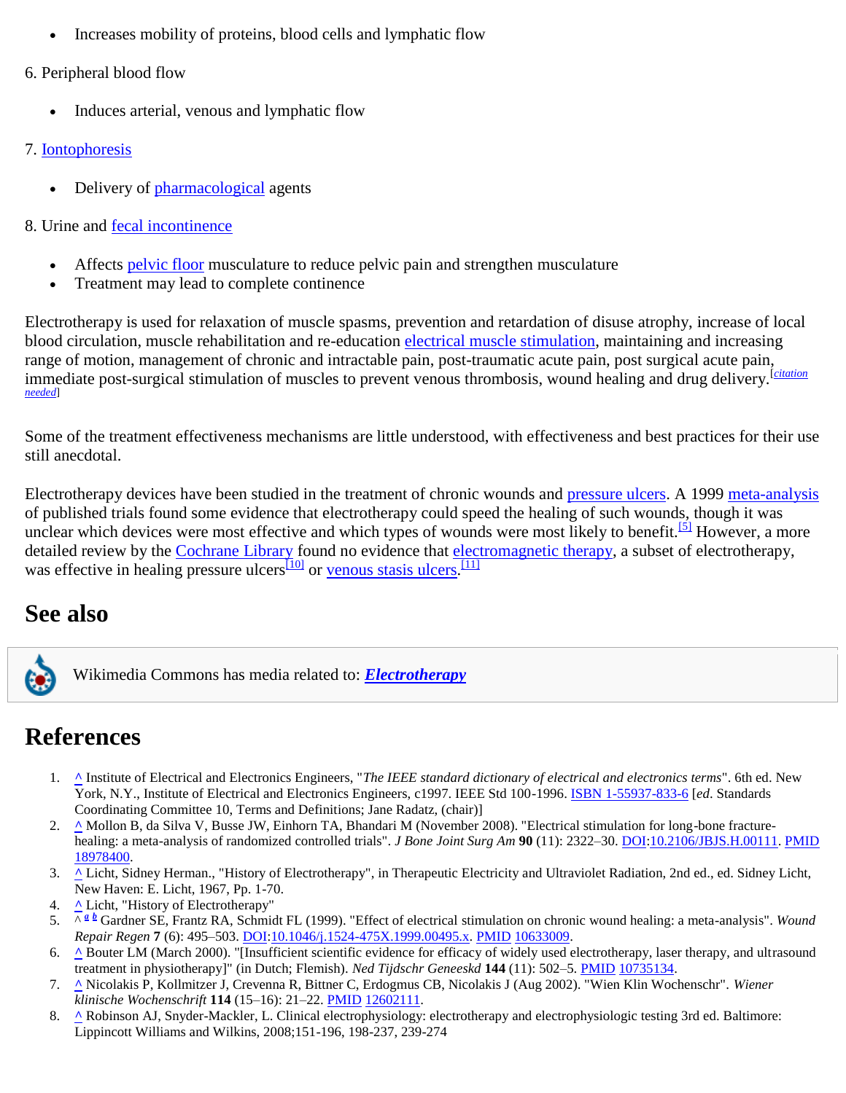- Increases mobility of proteins, blood cells and lymphatic flow
- 6. Peripheral blood flow
	- Induces arterial, venous and lymphatic flow

#### 7. [Iontophoresis](http://en.wikipedia.org/wiki/Iontophoresis)

- Delivery of [pharmacological](http://en.wikipedia.org/wiki/Pharmacology) agents
- 8. Urine and [fecal incontinence](http://en.wikipedia.org/wiki/Fecal_incontinence)
	- Affects [pelvic floor](http://en.wikipedia.org/wiki/Pelvic_floor) musculature to reduce pelvic pain and strengthen musculature
	- Treatment may lead to complete continence

Electrotherapy is used for relaxation of muscle spasms, prevention and retardation of disuse atrophy, increase of local blood circulation, muscle rehabilitation and re-education [electrical muscle stimulation,](http://en.wikipedia.org/wiki/Electrical_muscle_stimulation) maintaining and increasing range of motion, management of chronic and intractable pain, post-traumatic acute pain, post surgical acute pain, immediate post-surgical stimulation of muscles to prevent venous thrombosis, wound healing and drug delivery.<sup>[citation</sup>] *[needed](http://en.wikipedia.org/wiki/Wikipedia:Citation_needed)*]

Some of the treatment effectiveness mechanisms are little understood, with effectiveness and best practices for their use still anecdotal.

Electrotherapy devices have been studied in the treatment of chronic wounds and [pressure ulcers.](http://en.wikipedia.org/wiki/Pressure_ulcer) A 1999 [meta-analysis](http://en.wikipedia.org/wiki/Meta-analysis) of published trials found some evidence that electrotherapy could speed the healing of such wounds, though it was unclear which devices were most effective and which types of wounds were most likely to benefit.<sup>[\[5\]](http://en.wikipedia.org/wiki/Electrotherapy#cite_note-Gardner1999-4)</sup> However, a more detailed review by the [Cochrane Library](http://en.wikipedia.org/wiki/Cochrane_Library) found no evidence that [electromagnetic therapy,](http://en.wikipedia.org/wiki/Electromagnetic_therapy) a subset of electrotherapy, was effective in healing pressure ulcers<sup>[\[10\]](http://en.wikipedia.org/wiki/Electrotherapy#cite_note-9)</sup> or [venous stasis ulcers.](http://en.wikipedia.org/wiki/Venous_stasis_ulcer)<sup>[\[11\]](http://en.wikipedia.org/wiki/Electrotherapy#cite_note-10)</sup>

### **See also**



Wikimedia Commons has media related to: *[Electrotherapy](http://commons.wikimedia.org/wiki/Category:Electrotherapy)*

### **References**

- 1. **[^](http://en.wikipedia.org/wiki/Electrotherapy#cite_ref-0)** Institute of Electrical and Electronics Engineers, "*The IEEE standard dictionary of electrical and electronics terms*". 6th ed. New York, N.Y., Institute of Electrical and Electronics Engineers, c1997. IEEE Std 100-1996. [ISBN 1-55937-833-6](http://en.wikipedia.org/wiki/Special:BookSources/1559378336) [*ed*. Standards Coordinating Committee 10, Terms and Definitions; Jane Radatz, (chair)]
- 2. **[^](http://en.wikipedia.org/wiki/Electrotherapy#cite_ref-1)** Mollon B, da Silva V, Busse JW, Einhorn TA, Bhandari M (November 2008). "Electrical stimulation for long-bone fracturehealing: a meta-analysis of randomized controlled trials". *J Bone Joint Surg Am* **90** (11): 2322–30. [DOI](http://en.wikipedia.org/wiki/Digital_object_identifier)[:10.2106/JBJS.H.00111.](http://dx.doi.org/10.2106%2FJBJS.H.00111) [PMID](http://en.wikipedia.org/wiki/PubMed_Identifier) [18978400.](http://www.ncbi.nlm.nih.gov/pubmed/18978400)
- 3. **[^](http://en.wikipedia.org/wiki/Electrotherapy#cite_ref-2)** Licht, Sidney Herman., "History of Electrotherapy", in Therapeutic Electricity and Ultraviolet Radiation, 2nd ed., ed. Sidney Licht, New Haven: E. Licht, 1967, Pp. 1-70.
- 4. **[^](http://en.wikipedia.org/wiki/Electrotherapy#cite_ref-3)** Licht, "History of Electrotherapy"
- 5. ^*<sup>a</sup> [b](http://en.wikipedia.org/wiki/Electrotherapy#cite_ref-Gardner1999_4-1)* Gardner SE, Frantz RA, Schmidt FL (1999). "Effect of electrical stimulation on chronic wound healing: a meta-analysis". *Wound Repair Regen* **7** (6): 495–503[. DOI:](http://en.wikipedia.org/wiki/Digital_object_identifier)[10.1046/j.1524-475X.1999.00495.x.](http://dx.doi.org/10.1046%2Fj.1524-475X.1999.00495.x) [PMID](http://en.wikipedia.org/wiki/PubMed_Identifier) [10633009.](http://www.ncbi.nlm.nih.gov/pubmed/10633009)
- 6. **[^](http://en.wikipedia.org/wiki/Electrotherapy#cite_ref-5)** Bouter LM (March 2000). "[Insufficient scientific evidence for efficacy of widely used electrotherapy, laser therapy, and ultrasound treatment in physiotherapy]" (in Dutch; Flemish). *Ned Tijdschr Geneeskd* **144** (11): 502–5. [PMID](http://en.wikipedia.org/wiki/PubMed_Identifier) [10735134.](http://www.ncbi.nlm.nih.gov/pubmed/10735134)
- 7. **[^](http://en.wikipedia.org/wiki/Electrotherapy#cite_ref-6)** Nicolakis P, Kollmitzer J, Crevenna R, Bittner C, Erdogmus CB, Nicolakis J (Aug 2002). "Wien Klin Wochenschr". *Wiener klinische Wochenschrift* **114** (15–16): 21–22[. PMID](http://en.wikipedia.org/wiki/PubMed_Identifier) [12602111.](http://www.ncbi.nlm.nih.gov/pubmed/12602111)
- 8. **[^](http://en.wikipedia.org/wiki/Electrotherapy#cite_ref-7)** Robinson AJ, Snyder-Mackler, L. Clinical electrophysiology: electrotherapy and electrophysiologic testing 3rd ed. Baltimore: Lippincott Williams and Wilkins, 2008;151-196, 198-237, 239-274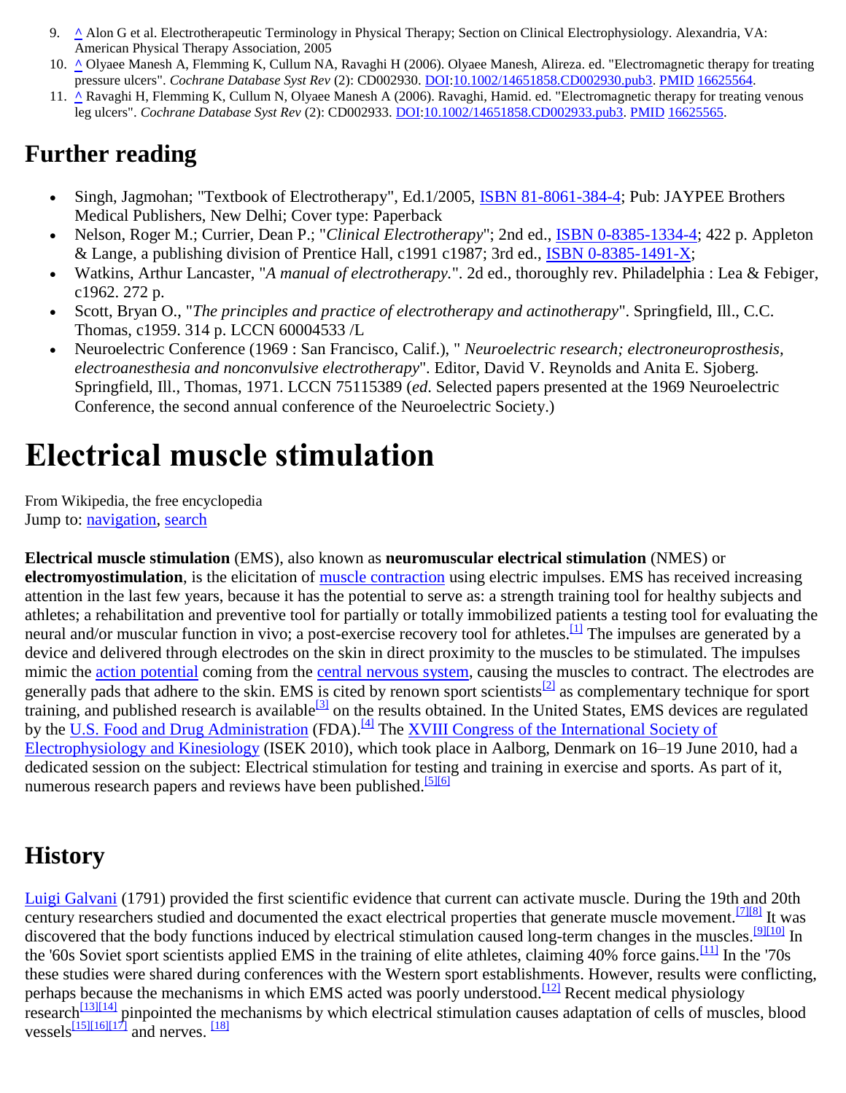- 9. **[^](http://en.wikipedia.org/wiki/Electrotherapy#cite_ref-8)** Alon G et al. Electrotherapeutic Terminology in Physical Therapy; Section on Clinical Electrophysiology. Alexandria, VA: American Physical Therapy Association, 2005
- 10. **[^](http://en.wikipedia.org/wiki/Electrotherapy#cite_ref-9)** Olyaee Manesh A, Flemming K, Cullum NA, Ravaghi H (2006). Olyaee Manesh, Alireza. ed. "Electromagnetic therapy for treating pressure ulcers". *Cochrane Database Syst Rev* (2): CD002930[. DOI:](http://en.wikipedia.org/wiki/Digital_object_identifier)[10.1002/14651858.CD002930.pub3.](http://dx.doi.org/10.1002%2F14651858.CD002930.pub3) [PMID](http://en.wikipedia.org/wiki/PubMed_Identifier) [16625564.](http://www.ncbi.nlm.nih.gov/pubmed/16625564)
- 11. **[^](http://en.wikipedia.org/wiki/Electrotherapy#cite_ref-10)** Ravaghi H, Flemming K, Cullum N, Olyaee Manesh A (2006). Ravaghi, Hamid. ed. "Electromagnetic therapy for treating venous leg ulcers". *Cochrane Database Syst Rev* (2): CD002933. [DOI](http://en.wikipedia.org/wiki/Digital_object_identifier)[:10.1002/14651858.CD002933.pub3.](http://dx.doi.org/10.1002%2F14651858.CD002933.pub3) [PMID](http://en.wikipedia.org/wiki/PubMed_Identifier) [16625565.](http://www.ncbi.nlm.nih.gov/pubmed/16625565)

#### **Further reading**

- Singh, Jagmohan; "Textbook of Electrotherapy", Ed.1/2005, [ISBN 81-8061-384-4;](http://en.wikipedia.org/wiki/Special:BookSources/8180613844) Pub: JAYPEE Brothers Medical Publishers, New Delhi; Cover type: Paperback
- Nelson, Roger M.; Currier, Dean P.; "*Clinical Electrotherapy*"; 2nd ed., [ISBN 0-8385-1334-4;](http://en.wikipedia.org/wiki/Special:BookSources/0838513344) 422 p. Appleton & Lange, a publishing division of Prentice Hall, c1991 c1987; 3rd ed., [ISBN 0-8385-1491-X;](http://en.wikipedia.org/wiki/Special:BookSources/083851491X)
- Watkins, Arthur Lancaster, "*A manual of electrotherapy.*". 2d ed., thoroughly rev. Philadelphia : Lea & Febiger, c1962. 272 p.
- Scott, Bryan O., "*The principles and practice of electrotherapy and actinotherapy*". Springfield, Ill., C.C. Thomas, c1959. 314 p. LCCN 60004533 /L
- Neuroelectric Conference (1969 : San Francisco, Calif.), " *Neuroelectric research; electroneuroprosthesis, electroanesthesia and nonconvulsive electrotherapy*". Editor, David V. Reynolds and Anita E. Sjoberg. Springfield, Ill., Thomas, 1971. LCCN 75115389 (*ed*. Selected papers presented at the 1969 Neuroelectric Conference, the second annual conference of the Neuroelectric Society.)

# **Electrical muscle stimulation**

From Wikipedia, the free encyclopedia Jump to: [navigation,](http://en.wikipedia.org/wiki/Electrical_muscle_stimulation#mw-head) [search](http://en.wikipedia.org/wiki/Electrical_muscle_stimulation#p-search)

**Electrical muscle stimulation** (EMS), also known as **neuromuscular electrical stimulation** (NMES) or **electromyostimulation**, is the elicitation of [muscle contraction](http://en.wikipedia.org/wiki/Muscle_contraction) using electric impulses. EMS has received increasing attention in the last few years, because it has the potential to serve as: a strength training tool for healthy subjects and athletes; a rehabilitation and preventive tool for partially or totally immobilized patients a testing tool for evaluating the neural and/or muscular function in vivo; a post-exercise recovery tool for athletes.<sup>[\[1\]](http://en.wikipedia.org/wiki/Electrical_muscle_stimulation#cite_note-0)</sup> The impulses are generated by a device and delivered through electrodes on the skin in direct proximity to the muscles to be stimulated. The impulses mimic the [action potential](http://en.wikipedia.org/wiki/Action_potential) coming from the [central nervous system,](http://en.wikipedia.org/wiki/Central_nervous_system) causing the muscles to contract. The electrodes are generally pads that adhere to the skin. EMS is cited by renown sport scientists<sup>[\[2\]](http://en.wikipedia.org/wiki/Electrical_muscle_stimulation#cite_note-1)</sup> as complementary technique for sport training, and published research is available<sup>[\[3\]](http://en.wikipedia.org/wiki/Electrical_muscle_stimulation#cite_note-2)</sup> on the results obtained. In the United States, EMS devices are regulated by the [U.S. Food and Drug Administration](http://en.wikipedia.org/wiki/Food_and_Drug_Administration_(United_States)) (FDA).<sup>[\[4\]](http://en.wikipedia.org/wiki/Electrical_muscle_stimulation#cite_note-FDA-3)</sup> The XVIII Congress of the International Society of [Electrophysiology and Kinesiology](http://isek2010.hst.aau.dk/program.html) (ISEK 2010), which took place in Aalborg, Denmark on 16–19 June 2010, had a dedicated session on the subject: Electrical stimulation for testing and training in exercise and sports. As part of it, numerous research papers and reviews have been published.<sup>[\[5\]\[6\]](http://en.wikipedia.org/wiki/Electrical_muscle_stimulation#cite_note-4)</sup>

## **History**

[Luigi Galvani](http://en.wikipedia.org/wiki/Luigi_Galvani) (1791) provided the first scientific evidence that current can activate muscle. During the 19th and 20th century researchers studied and documented the exact electrical properties that generate muscle movement.<sup>[\[7\]\[8\]](http://en.wikipedia.org/wiki/Electrical_muscle_stimulation#cite_note-6)</sup> It was discovered that the body functions induced by electrical stimulation caused long-term changes in the muscles.<sup>[\[9\]\[10\]](http://en.wikipedia.org/wiki/Electrical_muscle_stimulation#cite_note-8)</sup> In the '60s Soviet sport scientists applied EMS in the training of elite athletes, claiming 40% force gains.  $\frac{[11]}{[11]}$  $\frac{[11]}{[11]}$  $\frac{[11]}{[11]}$  In the '70s these studies were shared during conferences with the Western sport establishments. However, results were conflicting, perhaps because the mechanisms in which EMS acted was poorly understood.<sup>[\[12\]](http://en.wikipedia.org/wiki/Electrical_muscle_stimulation#cite_note-11)</sup> Recent medical physiology research<sup>[\[13\]\[14\]](http://en.wikipedia.org/wiki/Electrical_muscle_stimulation#cite_note-12)</sup> pinpointed the mechanisms by which electrical stimulation causes adaptation of cells of muscles, blood vessels $\frac{[15][16][17]}{]}$  $\frac{[15][16][17]}{]}$  $\frac{[15][16][17]}{]}$  $\frac{[15][16][17]}{]}$  and nerves.  $\frac{[18]}{]}$  $\frac{[18]}{]}$  $\frac{[18]}{]}$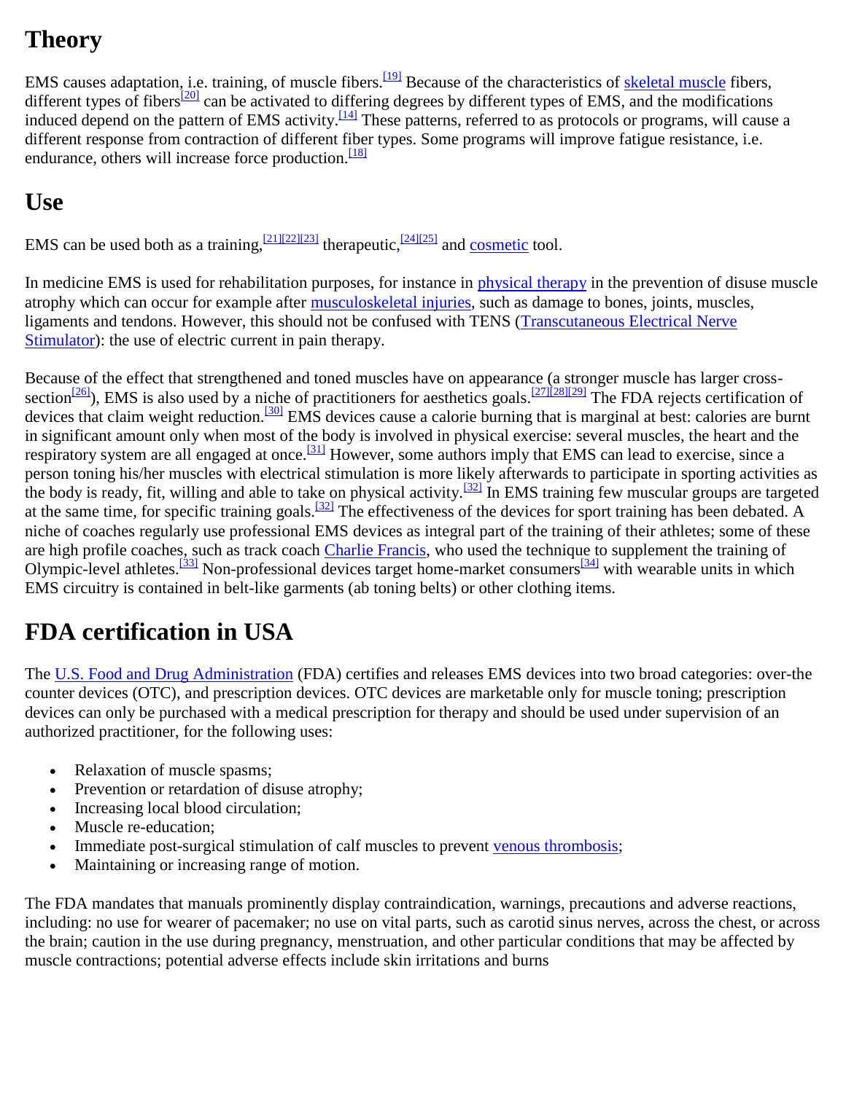## **Theory**

EMS causes adaptation, i.e. training, of muscle fibers.<sup>[\[19\]](http://en.wikipedia.org/wiki/Electrical_muscle_stimulation#cite_note-18)</sup> Because of the characteristics of [skeletal muscle](http://en.wikipedia.org/wiki/Skeletal_muscle) fibers, different types of fibers<sup>[\[20\]](http://en.wikipedia.org/wiki/Electrical_muscle_stimulation#cite_note-19)</sup> can be activated to differing degrees by different types of EMS, and the modifications induced depend on the pattern of EMS activity.<sup>[\[14\]](http://en.wikipedia.org/wiki/Electrical_muscle_stimulation#cite_note-Pmid-13)</sup> These patterns, referred to as protocols or programs, will cause a different response from contraction of different fiber types. Some programs will improve fatigue resistance, i.e. endurance, others will increase force production.<sup>[\[18\]](http://en.wikipedia.org/wiki/Electrical_muscle_stimulation#cite_note-Pette99-17)</sup>

## **Use**

EMS can be used both as a training,  $\frac{[21][22][23]}{[24][25]}$  $\frac{[21][22][23]}{[24][25]}$  $\frac{[21][22][23]}{[24][25]}$  $\frac{[21][22][23]}{[24][25]}$  $\frac{[21][22][23]}{[24][25]}$  $\frac{[21][22][23]}{[24][25]}$  therapeutic,  $\frac{[24][25]}{[24][25]}$  and <u>cosmetic</u> tool.

In medicine EMS is used for rehabilitation purposes, for instance in [physical therapy](http://en.wikipedia.org/wiki/Physical_therapy) in the prevention of disuse muscle atrophy which can occur for example after [musculoskeletal injuries,](http://en.wikipedia.org/wiki/Musculoskeletal_injury) such as damage to bones, joints, muscles, ligaments and tendons. However, this should not be confused with TENS [\(Transcutaneous Electrical Nerve](http://en.wikipedia.org/wiki/Transcutaneous_Electrical_Nerve_Stimulator)  [Stimulator\)](http://en.wikipedia.org/wiki/Transcutaneous_Electrical_Nerve_Stimulator): the use of electric current in pain therapy.

Because of the effect that strengthened and toned muscles have on appearance (a stronger muscle has larger cross-section<sup>[\[26\]](http://en.wikipedia.org/wiki/Electrical_muscle_stimulation#cite_note-25)</sup>), EMS is also used by a niche of practitioners for aesthetics goals.<sup>[\[27\]\[28\]](http://en.wikipedia.org/wiki/Electrical_muscle_stimulation#cite_note-26)[\[29\]](http://en.wikipedia.org/wiki/Electrical_muscle_stimulation#cite_note-28)</sup> The FDA rejects certification of devices that claim weight reduction.<sup>[\[30\]](http://en.wikipedia.org/wiki/Electrical_muscle_stimulation#cite_note-29)</sup> EMS devices cause a calorie burning that is marginal at best: calories are burnt in significant amount only when most of the body is involved in physical exercise: several muscles, the heart and the respiratory system are all engaged at once.<sup>[\[31\]](http://en.wikipedia.org/wiki/Electrical_muscle_stimulation#cite_note-30)</sup> However, some authors imply that EMS can lead to exercise, since a person toning his/her muscles with electrical stimulation is more likely afterwards to participate in sporting activities as the body is ready, fit, willing and able to take on physical activity.<sup>[\[32\]](http://en.wikipedia.org/wiki/Electrical_muscle_stimulation#cite_note-Vrbova2008-31)</sup> In EMS training few muscular groups are targeted at the same time, for specific training goals.<sup>[\[32\]](http://en.wikipedia.org/wiki/Electrical_muscle_stimulation#cite_note-Vrbova2008-31)</sup> The effectiveness of the devices for sport training has been debated. A niche of coaches regularly use professional EMS devices as integral part of the training of their athletes; some of these are high profile coaches, such as track coach [Charlie Francis,](http://en.wikipedia.org/wiki/Charlie_Francis) who used the technique to supplement the training of Olympic-level athletes.<sup>[\[33\]](http://en.wikipedia.org/wiki/Electrical_muscle_stimulation#cite_note-32)</sup> Non-professional devices target home-market consumers<sup>[\[34\]](http://en.wikipedia.org/wiki/Electrical_muscle_stimulation#cite_note-slendertone-33)</sup> with wearable units in which EMS circuitry is contained in belt-like garments (ab toning belts) or other clothing items.

## **FDA certification in USA**

The [U.S. Food and Drug Administration](http://en.wikipedia.org/wiki/Food_and_Drug_Administration_(United_States)) (FDA) certifies and releases EMS devices into two broad categories: over-the counter devices (OTC), and prescription devices. OTC devices are marketable only for muscle toning; prescription devices can only be purchased with a medical prescription for therapy and should be used under supervision of an authorized practitioner, for the following uses:

- Relaxation of muscle spasms;
- Prevention or retardation of disuse atrophy;
- Increasing local blood circulation;
- Muscle re-education;
- Immediate post-surgical stimulation of calf muscles to prevent [venous thrombosis;](http://en.wikipedia.org/wiki/Venous_thrombosis)
- Maintaining or increasing range of motion.

The FDA mandates that manuals prominently display contraindication, warnings, precautions and adverse reactions, including: no use for wearer of pacemaker; no use on vital parts, such as carotid sinus nerves, across the chest, or across the brain; caution in the use during pregnancy, menstruation, and other particular conditions that may be affected by muscle contractions; potential adverse effects include skin irritations and burns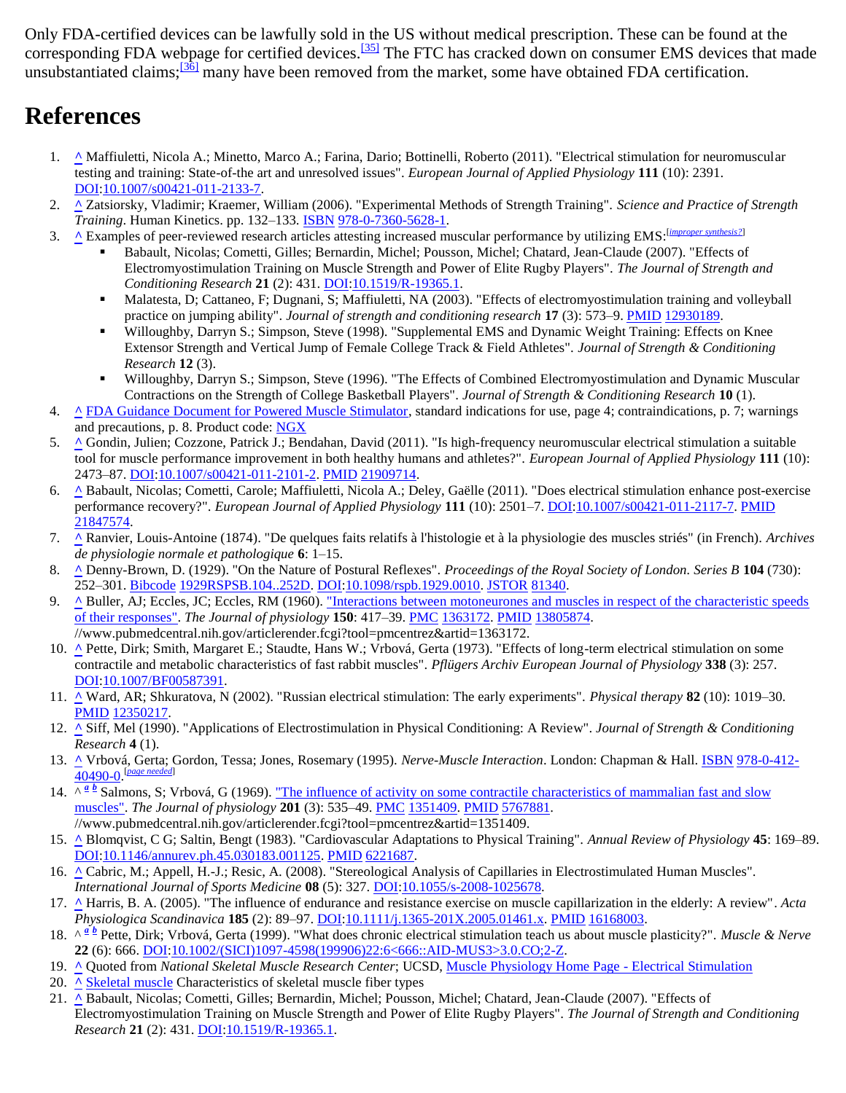Only FDA-certified devices can be lawfully sold in the US without medical prescription. These can be found at the corresponding FDA webpage for certified devices.<sup>[\[35\]](http://en.wikipedia.org/wiki/Electrical_muscle_stimulation#cite_note-FDA-Certified_Devices-34)</sup> The FTC has cracked down on consumer EMS devices that made unsubstantiated claims; $\frac{36}{136}$  many have been removed from the market, some have obtained FDA certification.

#### **References**

- 1. **[^](http://en.wikipedia.org/wiki/Electrical_muscle_stimulation#cite_ref-0)** Maffiuletti, Nicola A.; Minetto, Marco A.; Farina, Dario; Bottinelli, Roberto (2011). "Electrical stimulation for neuromuscular testing and training: State-of-the art and unresolved issues". *European Journal of Applied Physiology* **111** (10): 2391. [DOI](http://en.wikipedia.org/wiki/Digital_object_identifier)[:10.1007/s00421-011-2133-7.](http://dx.doi.org/10.1007%2Fs00421-011-2133-7)
- 2. **[^](http://en.wikipedia.org/wiki/Electrical_muscle_stimulation#cite_ref-1)** Zatsiorsky, Vladimir; Kraemer, William (2006). "Experimental Methods of Strength Training". *Science and Practice of Strength Training*. Human Kinetics. pp. 132–133. [ISBN](http://en.wikipedia.org/wiki/International_Standard_Book_Number) [978-0-7360-5628-1.](http://en.wikipedia.org/wiki/Special:BookSources/978-0-7360-5628-1)
- 3. **[^](http://en.wikipedia.org/wiki/Electrical_muscle_stimulation#cite_ref-2)** Examples of peer-reviewed research articles attesting increased muscular performance by utilizing EMS:[*[improper synthesis?](http://en.wikipedia.org/wiki/Wikipedia:No_original_research#Synthesis_of_published_material_that_advances_a_position)*]
	- Babault, Nicolas; Cometti, Gilles; Bernardin, Michel; Pousson, Michel; Chatard, Jean-Claude (2007). "Effects of Electromyostimulation Training on Muscle Strength and Power of Elite Rugby Players". *The Journal of Strength and Conditioning Research* **21** (2): 431[. DOI](http://en.wikipedia.org/wiki/Digital_object_identifier)[:10.1519/R-19365.1.](http://dx.doi.org/10.1519%2FR-19365.1)
	- Malatesta, D; Cattaneo, F; Dugnani, S; Maffiuletti, NA (2003). "Effects of electromyostimulation training and volleyball practice on jumping ability". *Journal of strength and conditioning research* **17** (3): 573–9. [PMID](http://en.wikipedia.org/wiki/PubMed_Identifier) [12930189.](http://www.ncbi.nlm.nih.gov/pubmed/12930189)
	- Willoughby, Darryn S.; Simpson, Steve (1998). "Supplemental EMS and Dynamic Weight Training: Effects on Knee Extensor Strength and Vertical Jump of Female College Track & Field Athletes". *Journal of Strength & Conditioning Research* **12** (3).
	- Willoughby, Darryn S.; Simpson, Steve (1996). "The Effects of Combined Electromyostimulation and Dynamic Muscular Contractions on the Strength of College Basketball Players". *Journal of Strength & Conditioning Research* **10** (1).
- 4. **[^](http://en.wikipedia.org/wiki/Electrical_muscle_stimulation#cite_ref-FDA_3-0)** [FDA Guidance Document for Powered Muscle Stimulator,](http://www.fda.gov/cdrh/ode/2246.pdf) standard indications for use, page 4; contraindications, p. 7; warnings and precautions, p. 8. Product code: [NGX](http://www.accessdata.fda.gov/scripts/cdrh/cfdocs/cfPCD/classification.cfm?ID=4464)
- 5. **[^](http://en.wikipedia.org/wiki/Electrical_muscle_stimulation#cite_ref-4)** Gondin, Julien; Cozzone, Patrick J.; Bendahan, David (2011). "Is high-frequency neuromuscular electrical stimulation a suitable tool for muscle performance improvement in both healthy humans and athletes?". *European Journal of Applied Physiology* **111** (10): 2473–87. [DOI](http://en.wikipedia.org/wiki/Digital_object_identifier)[:10.1007/s00421-011-2101-2.](http://dx.doi.org/10.1007%2Fs00421-011-2101-2) [PMID](http://en.wikipedia.org/wiki/PubMed_Identifier) [21909714.](http://www.ncbi.nlm.nih.gov/pubmed/21909714)
- 6. **[^](http://en.wikipedia.org/wiki/Electrical_muscle_stimulation#cite_ref-5)** Babault, Nicolas; Cometti, Carole; Maffiuletti, Nicola A.; Deley, Gaëlle (2011). "Does electrical stimulation enhance post-exercise performance recovery?". *European Journal of Applied Physiology* **111** (10): 2501–7[. DOI](http://en.wikipedia.org/wiki/Digital_object_identifier)[:10.1007/s00421-011-2117-7.](http://dx.doi.org/10.1007%2Fs00421-011-2117-7) [PMID](http://en.wikipedia.org/wiki/PubMed_Identifier) [21847574.](http://www.ncbi.nlm.nih.gov/pubmed/21847574)
- 7. **[^](http://en.wikipedia.org/wiki/Electrical_muscle_stimulation#cite_ref-6)** Ranvier, Louis-Antoine (1874). "De quelques faits relatifs à l'histologie et à la physiologie des muscles striés" (in French). *Archives de physiologie normale et pathologique* **6**: 1–15.
- 8. **[^](http://en.wikipedia.org/wiki/Electrical_muscle_stimulation#cite_ref-7)** Denny-Brown, D. (1929). "On the Nature of Postural Reflexes". *Proceedings of the Royal Society of London. Series B* **104** (730): 252–301. [Bibcode](http://en.wikipedia.org/wiki/Bibcode) [1929RSPSB.104..252D.](http://adsabs.harvard.edu/abs/1929RSPSB.104..252D) [DOI:](http://en.wikipedia.org/wiki/Digital_object_identifier)[10.1098/rspb.1929.0010.](http://dx.doi.org/10.1098%2Frspb.1929.0010) [JSTOR](http://en.wikipedia.org/wiki/JSTOR) [81340.](http://www.jstor.org/stable/81340)
- 9. **[^](http://en.wikipedia.org/wiki/Electrical_muscle_stimulation#cite_ref-8)** Buller, AJ; Eccles, JC; Eccles, RM (1960). ["Interactions between motoneurones and muscles in respect of the characteristic speeds](http://www.pubmedcentral.nih.gov/articlerender.fcgi?tool=pmcentrez&artid=1363172)  [of their responses".](http://www.pubmedcentral.nih.gov/articlerender.fcgi?tool=pmcentrez&artid=1363172) *The Journal of physiology* **150**: 417–39. [PMC](http://en.wikipedia.org/wiki/PubMed_Central) [1363172.](http://www.ncbi.nlm.nih.gov/pmc/articles/PMC1363172/?tool=pmcentrez) [PMID](http://en.wikipedia.org/wiki/PubMed_Identifier) [13805874.](http://www.ncbi.nlm.nih.gov/pubmed/13805874) //www.pubmedcentral.nih.gov/articlerender.fcgi?tool=pmcentrez&artid=1363172.
- 10. **[^](http://en.wikipedia.org/wiki/Electrical_muscle_stimulation#cite_ref-9)** Pette, Dirk; Smith, Margaret E.; Staudte, Hans W.; Vrbová, Gerta (1973). "Effects of long-term electrical stimulation on some contractile and metabolic characteristics of fast rabbit muscles". *Pflügers Archiv European Journal of Physiology* **338** (3): 257. [DOI](http://en.wikipedia.org/wiki/Digital_object_identifier)[:10.1007/BF00587391.](http://dx.doi.org/10.1007%2FBF00587391)
- 11. **[^](http://en.wikipedia.org/wiki/Electrical_muscle_stimulation#cite_ref-10)** Ward, AR; Shkuratova, N (2002). "Russian electrical stimulation: The early experiments". *Physical therapy* **82** (10): 1019–30. [PMID](http://en.wikipedia.org/wiki/PubMed_Identifier) [12350217.](http://www.ncbi.nlm.nih.gov/pubmed/12350217)
- 12. **[^](http://en.wikipedia.org/wiki/Electrical_muscle_stimulation#cite_ref-11)** Siff, Mel (1990). "Applications of Electrostimulation in Physical Conditioning: A Review". *Journal of Strength & Conditioning Research* **4** (1).
- 13. **[^](http://en.wikipedia.org/wiki/Electrical_muscle_stimulation#cite_ref-12)** Vrbová, Gerta; Gordon, Tessa; Jones, Rosemary (1995). *Nerve-Muscle Interaction*. London: Chapman & Hall. [ISBN](http://en.wikipedia.org/wiki/International_Standard_Book_Number) [978-0-412-](http://en.wikipedia.org/wiki/Special:BookSources/978-0-412-40490-0) [40490-0.](http://en.wikipedia.org/wiki/Special:BookSources/978-0-412-40490-0) [*[page needed](http://en.wikipedia.org/wiki/Wikipedia:Citing_sources)*]
- 14. $\wedge \frac{a}{b}$  $\wedge \frac{a}{b}$  $\wedge \frac{a}{b}$  Salmons, S; Vrbová, G (1969). <u>"The influence of activity on some contractile characteristics of mammalian fast and slow</u> [muscles".](http://www.pubmedcentral.nih.gov/articlerender.fcgi?tool=pmcentrez&artid=1351409) *The Journal of physiology* **201** (3): 535–49. [PMC](http://en.wikipedia.org/wiki/PubMed_Central) [1351409.](http://www.ncbi.nlm.nih.gov/pmc/articles/PMC1351409/?tool=pmcentrez) [PMID](http://en.wikipedia.org/wiki/PubMed_Identifier) [5767881.](http://www.ncbi.nlm.nih.gov/pubmed/5767881) //www.pubmedcentral.nih.gov/articlerender.fcgi?tool=pmcentrez&artid=1351409.
- 15. **[^](http://en.wikipedia.org/wiki/Electrical_muscle_stimulation#cite_ref-14)** Blomqvist, C G; Saltin, Bengt (1983). "Cardiovascular Adaptations to Physical Training". *Annual Review of Physiology* **45**: 169–89. [DOI](http://en.wikipedia.org/wiki/Digital_object_identifier)[:10.1146/annurev.ph.45.030183.001125.](http://dx.doi.org/10.1146%2Fannurev.ph.45.030183.001125) [PMID](http://en.wikipedia.org/wiki/PubMed_Identifier) [6221687.](http://www.ncbi.nlm.nih.gov/pubmed/6221687)
- 16. **[^](http://en.wikipedia.org/wiki/Electrical_muscle_stimulation#cite_ref-15)** Cabric, M.; Appell, H.-J.; Resic, A. (2008). "Stereological Analysis of Capillaries in Electrostimulated Human Muscles". *International Journal of Sports Medicine* **08** (5): 327. [DOI](http://en.wikipedia.org/wiki/Digital_object_identifier)[:10.1055/s-2008-1025678.](http://dx.doi.org/10.1055%2Fs-2008-1025678)
- 17. **[^](http://en.wikipedia.org/wiki/Electrical_muscle_stimulation#cite_ref-16)** Harris, B. A. (2005). "The influence of endurance and resistance exercise on muscle capillarization in the elderly: A review". *Acta Physiologica Scandinavica* **185** (2): 89–97[. DOI:](http://en.wikipedia.org/wiki/Digital_object_identifier)[10.1111/j.1365-201X.2005.01461.x.](http://dx.doi.org/10.1111%2Fj.1365-201X.2005.01461.x) [PMID](http://en.wikipedia.org/wiki/PubMed_Identifier) [16168003.](http://www.ncbi.nlm.nih.gov/pubmed/16168003)
- 18.^ <sup>a *[b](http://en.wikipedia.org/wiki/Electrical_muscle_stimulation#cite_ref-Pette99_17-1)*</sup> Pette, Dirk; Vrbová, Gerta (1999). "What does chronic electrical stimulation teach us about muscle plasticity?". *Muscle & Nerve* **22** (6): 666. [DOI](http://en.wikipedia.org/wiki/Digital_object_identifier)[:10.1002/\(SICI\)1097-4598\(199906\)22:6<666::AID-MUS3>3.0.CO;2-Z.](http://dx.doi.org/10.1002%2F%28SICI%291097-4598%28199906%2922%3A6%3C666%3A%3AAID-MUS3%3E3.0.CO%3B2-Z)
- 19. **[^](http://en.wikipedia.org/wiki/Electrical_muscle_stimulation#cite_ref-18)** Quoted from *National Skeletal Muscle Research Center*; UCSD, [Muscle Physiology Home Page](http://muscle.ucsd.edu/musintro/es.shtml) Electrical Stimulation
- 20. <u>[^](http://en.wikipedia.org/wiki/Electrical_muscle_stimulation#cite_ref-19) [Skeletal muscle](http://en.wikipedia.org/wiki/Skeletal_muscle)</u> Characteristics of skeletal muscle fiber types
- 21. **[^](http://en.wikipedia.org/wiki/Electrical_muscle_stimulation#cite_ref-20)** Babault, Nicolas; Cometti, Gilles; Bernardin, Michel; Pousson, Michel; Chatard, Jean-Claude (2007). "Effects of Electromyostimulation Training on Muscle Strength and Power of Elite Rugby Players". *The Journal of Strength and Conditioning Research* **21** (2): 431. [DOI](http://en.wikipedia.org/wiki/Digital_object_identifier)[:10.1519/R-19365.1.](http://dx.doi.org/10.1519%2FR-19365.1)